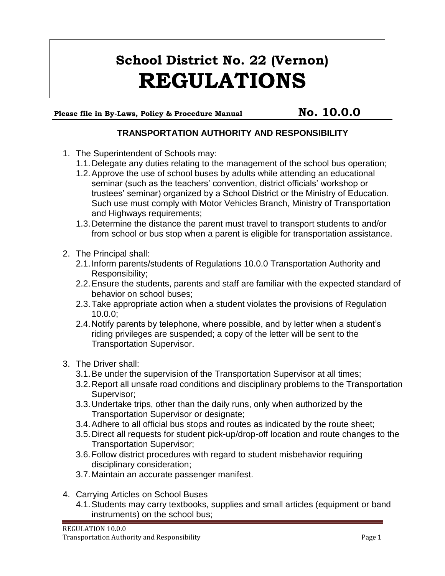## **School District No. 22 (Vernon) REGULATIONS**

Please file in By-Laws, Policy & Procedure Manual **No. 10.0.0** 

## **TRANSPORTATION AUTHORITY AND RESPONSIBILITY**

- 1. The Superintendent of Schools may:
	- 1.1.Delegate any duties relating to the management of the school bus operation;
	- 1.2.Approve the use of school buses by adults while attending an educational seminar (such as the teachers' convention, district officials' workshop or trustees' seminar) organized by a School District or the Ministry of Education. Such use must comply with Motor Vehicles Branch, Ministry of Transportation and Highways requirements;
	- 1.3.Determine the distance the parent must travel to transport students to and/or from school or bus stop when a parent is eligible for transportation assistance.
- 2. The Principal shall:
	- 2.1.Inform parents/students of Regulations 10.0.0 Transportation Authority and Responsibility;
	- 2.2.Ensure the students, parents and staff are familiar with the expected standard of behavior on school buses;
	- 2.3.Take appropriate action when a student violates the provisions of Regulation 10.0.0;
	- 2.4.Notify parents by telephone, where possible, and by letter when a student's riding privileges are suspended; a copy of the letter will be sent to the Transportation Supervisor.
- 3. The Driver shall:
	- 3.1.Be under the supervision of the Transportation Supervisor at all times;
	- 3.2.Report all unsafe road conditions and disciplinary problems to the Transportation Supervisor;
	- 3.3.Undertake trips, other than the daily runs, only when authorized by the Transportation Supervisor or designate;
	- 3.4.Adhere to all official bus stops and routes as indicated by the route sheet;
	- 3.5.Direct all requests for student pick-up/drop-off location and route changes to the Transportation Supervisor;
	- 3.6.Follow district procedures with regard to student misbehavior requiring disciplinary consideration;
	- 3.7.Maintain an accurate passenger manifest.
- 4. Carrying Articles on School Buses
	- 4.1.Students may carry textbooks, supplies and small articles (equipment or band instruments) on the school bus;